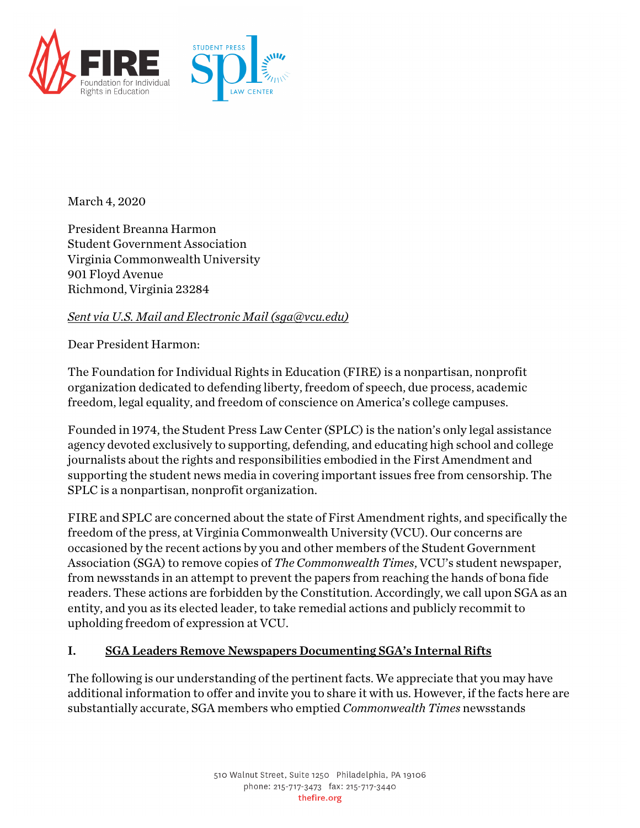

March 4, 2020

President Breanna Harmon Student Government Association Virginia Commonwealth University 901 Floyd Avenue Richmond, Virginia 23284

#### *Sent via U.S. Mail and Electronic Mail (sga@vcu.edu)*

Dear President Harmon:

The Foundation for Individual Rights in Education (FIRE) is a nonpartisan, nonprofit organization dedicated to defending liberty, freedom of speech, due process, academic freedom, legal equality, and freedom of conscience on America's college campuses.

Founded in 1974, the Student Press Law Center (SPLC) is the nation's only legal assistance agency devoted exclusively to supporting, defending, and educating high school and college journalists about the rights and responsibilities embodied in the First Amendment and supporting the student news media in covering important issues free from censorship. The SPLC is a nonpartisan, nonprofit organization.

FIRE and SPLC are concerned about the state of First Amendment rights, and specifically the freedom of the press, at Virginia Commonwealth University (VCU). Our concerns are occasioned by the recent actions by you and other members of the Student Government Association (SGA) to remove copies of *The Commonwealth Times*, VCU's student newspaper, from newsstands in an attempt to prevent the papers from reaching the hands of bona fide readers. These actions are forbidden by the Constitution. Accordingly, we call upon SGA as an entity, and you as its elected leader, to take remedial actions and publicly recommit to upholding freedom of expression at VCU.

#### I. SGA Leaders Remove Newspapers Documenting SGA's Internal Rifts

The following is our understanding of the pertinent facts. We appreciate that you may have additional information to offer and invite you to share it with us. However, if the facts here are substantially accurate, SGA members who emptied *Commonwealth Times* newsstands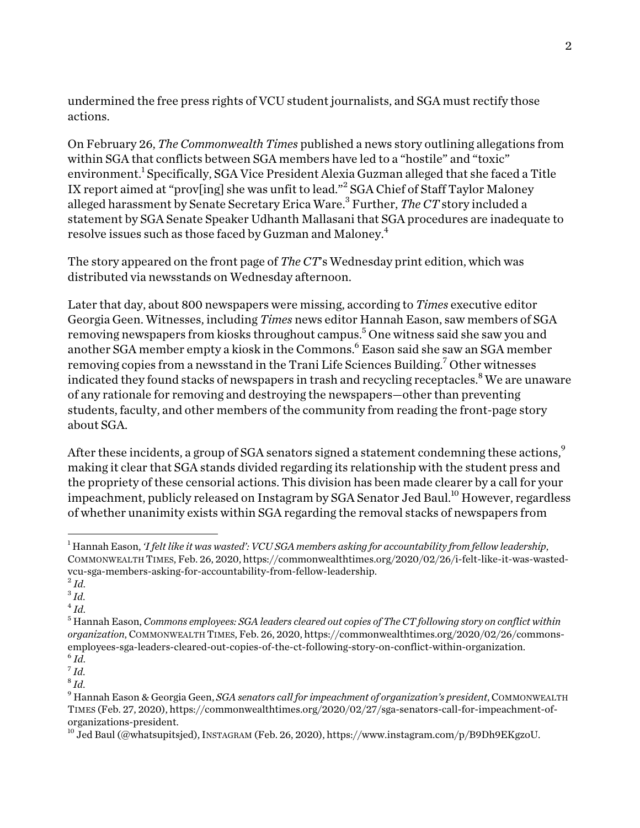undermined the free press rights of VCU student journalists, and SGA must rectify those actions.

On February 26, *The Commonwealth Times* published a news story outlining allegations from within SGA that conflicts between SGA members have led to a "hostile" and "toxic" environment.<sup>1</sup> Specifically, SGA Vice President Alexia Guzman alleged that she faced a Title IX report aimed at "prov[ing] she was unfit to lead."2 SGA Chief of Staff Taylor Maloney alleged harassment by Senate Secretary Erica Ware.<sup>3</sup> Further, *The CT* story included a statement by SGA Senate Speaker Udhanth Mallasani that SGA procedures are inadequate to resolve issues such as those faced by Guzman and Maloney. $^4$ 

The story appeared on the front page of *The CT*'s Wednesday print edition, which was distributed via newsstands on Wednesday afternoon.

Later that day, about 800 newspapers were missing, according to *Times* executive editor Georgia Geen. Witnesses, including *Times* news editor Hannah Eason, saw members of SGA removing newspapers from kiosks throughout campus.<sup>5</sup> One witness said she saw you and another SGA member empty a kiosk in the Commons.<sup>6</sup> Eason said she saw an SGA member removing copies from a newsstand in the Trani Life Sciences Building.<sup>7</sup> Other witnesses indicated they found stacks of newspapers in trash and recycling receptacles.<sup>8</sup> We are unaware of any rationale for removing and destroying the newspapers—other than preventing students, faculty, and other members of the community from reading the front-page story about SGA.

After these incidents, a group of SGA senators signed a statement condemning these actions.<sup>9</sup> making it clear that SGA stands divided regarding its relationship with the student press and the propriety of these censorial actions. This division has been made clearer by a call for your impeachment, publicly released on Instagram by SGA Senator Jed Baul. $^{10}$  However, regardless of whether unanimity exists within SGA regarding the removal stacks of newspapers from

<sup>1</sup> Hannah Eason, *'I felt like it was wasted': VCU SGA members asking for accountability from fellow leadership*, COMMONWEALTH TIMES, Feb. 26, 2020, https://commonwealthtimes.org/2020/02/26/i-felt-like-it-was-wastedvcu-sga-members-asking-for-accountability-from-fellow-leadership.

 $^{2}$ *Id.* 

 $3 \dot{I}$ *d*.

 $^{4}$  *Id.* 

<sup>5</sup> Hannah Eason, *Commons employees: SGA leaders cleared out copies of The CT following story on conflict within organization*, COMMONWEALTH TIMES, Feb. 26, 2020, https://commonwealthtimes.org/2020/02/26/commonsemployees-sga-leaders-cleared-out-copies-of-the-ct-following-story-on-conflict-within-organization.  $^6$  *Id.* 

<sup>7</sup> *Id*. <sup>8</sup> *Id*.

<sup>9</sup> Hannah Eason & Georgia Geen, *SGA senators call for impeachment of organization's president*, COMMONWEALTH TIMES (Feb. 27, 2020), https://commonwealthtimes.org/2020/02/27/sga-senators-call-for-impeachment-oforganizations-president.

<sup>10</sup> Jed Baul(@whatsupitsjed), INSTAGRAM (Feb. 26, 2020), https://www.instagram.com/p/B9Dh9EKgzoU.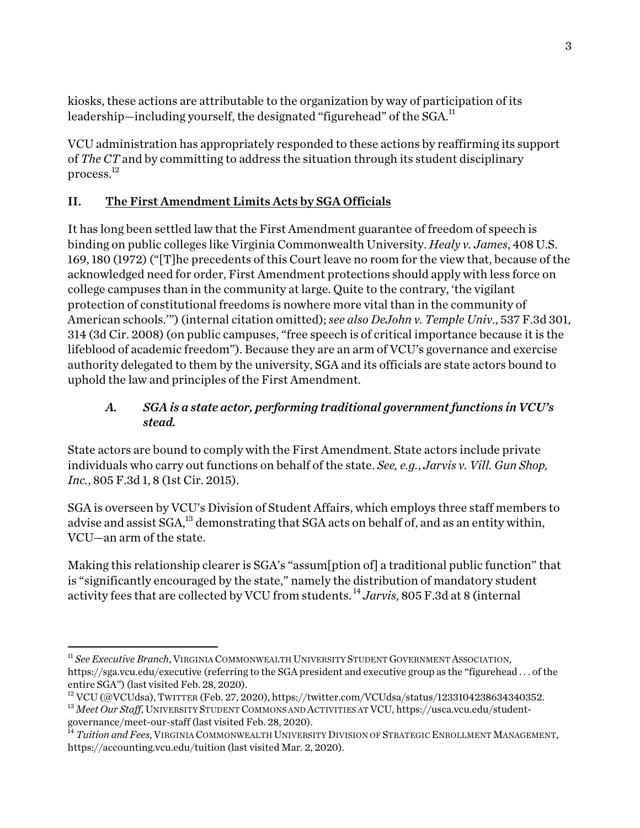kiosks, these actions are attributable to the organization by way of participation of its leadership—including yourself, the designated "figurehead" of the SGA.<sup>11</sup>

VCU administration has appropriately responded to these actions by reaffirming its support of *The CT* and by committing to address the situation through its student disciplinary process.12

# II. The First Amendment Limits Acts by SGA Officials

It has long been settled law that the First Amendment guarantee of freedom of speech is binding on public colleges like Virginia Commonwealth University. *Healy v. James*, 408 U.S. 169, 180 (1972) ("[T]he precedents of this Court leave no room for the view that, because of the acknowledged need for order, First Amendment protections should apply with less force on college campuses than in the community at large. Quite to the contrary, 'the vigilant protection of constitutional freedoms is nowhere more vital than in the community of American schools.'") (internal citation omitted); *see also DeJohn v. Temple Univ*., 537 F.3d 301, 314 (3d Cir. 2008) (on public campuses, "free speech is of critical importance because it is the lifeblood of academic freedom"). Because they are an arm of VCU's governance and exercise authority delegated to them by the university, SGA and its officials are state actors bound to uphold the law and principles of the First Amendment.

## *A. SGA is a state actor, performing traditional government functions in VCU's stead.*

State actors are bound to comply with the First Amendment. State actors include private individuals who carry out functions on behalf of the state. *See, e.g.*, *Jarvis v. Vill. Gun Shop, Inc.*, 805 F.3d 1, 8 (1st Cir. 2015).

SGA is overseen by VCU's Division of Student Affairs, which employs three staff members to advise and assist  $\text{SGA}, ^{13}$  demonstrating that  $\text{SGA}$  acts on behalf of, and as an entity within, VCU—an arm of the state.

Making this relationship clearer is SGA's "assum[ption of] a traditional public function" that is "significantly encouraged by the state," namely the distribution of mandatory student activity fees that are collected by VCU from students. <sup>14</sup> *Jarvis*, 805 F.3d at 8 (internal

<sup>11</sup> *See Executive Branch*, VIRGINIA COMMONWEALTH UNIVERSITY STUDENT GOVERNMENT ASSOCIATION, https://sga.vcu.edu/executive (referring to the SGA president and executive group as the "figurehead . . . of the entire SGA") (last visited Feb. 28, 2020).

 $12$  VCU (@VCUdsa), TWITTER (Feb. 27, 2020), https://twitter.com/VCUdsa/status/1233104238634340352.

<sup>&</sup>lt;sup>13</sup> Meet Our Staff, UNIVERSITY STUDENT COMMONS AND ACTIVITIES AT VCU, https://usca.vcu.edu/studentgovernance/meet-our-staff(last visited Feb. 28, 2020).

<sup>&</sup>lt;sup>14</sup> *Tuition and Fees*, Virginia Commonwealth University Division of Strategic Enrollment Management, https://accounting.vcu.edu/tuition (last visited Mar. 2, 2020).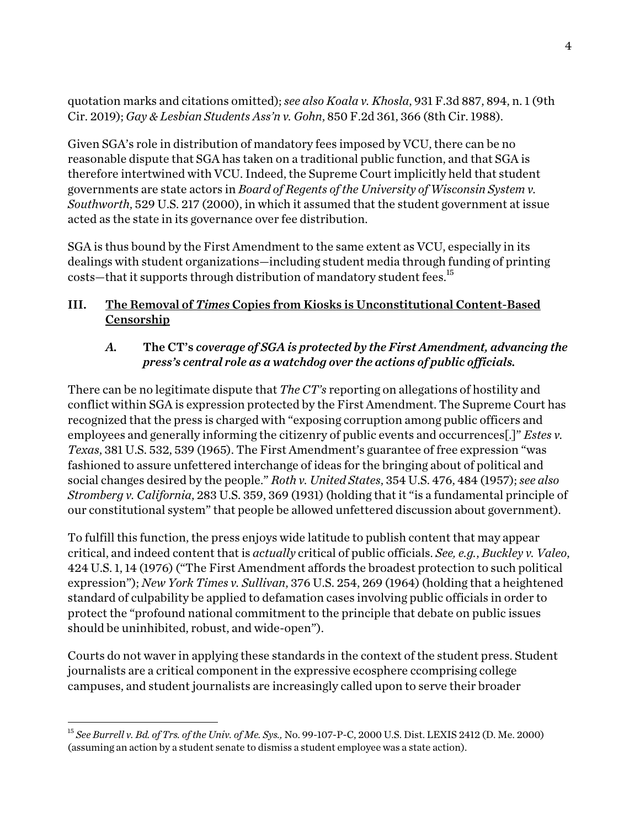quotation marks and citations omitted); *see also Koala v. Khosla*, 931 F.3d 887, 894, n. 1 (9th Cir. 2019); *Gay & Lesbian Students Ass'n v. Gohn*, 850 F.2d 361, 366 (8th Cir. 1988).

Given SGA's role in distribution of mandatory fees imposed by VCU, there can be no reasonable dispute that SGA has taken on a traditional public function, and that SGA is therefore intertwined with VCU. Indeed, the Supreme Court implicitly held that student governments are state actors in *Board of Regents of the University of Wisconsin System v. Southworth*, 529 U.S. 217 (2000), in which it assumed that the student government at issue acted as the state in its governance over fee distribution.

SGA is thus bound by the First Amendment to the same extent as VCU, especially in its dealings with student organizations—including student media through funding of printing costs—that it supports through distribution of mandatory student fees.<sup>15</sup>

## III. The Removal of *Times* Copies from Kiosks is Unconstitutional Content-Based Censorship

## *A.* The CT's *coverage of SGA is protected by the First Amendment, advancing the press's central role as a watchdog over the actions of public officials.*

There can be no legitimate dispute that *The CT's* reporting on allegations of hostility and conflict within SGA is expression protected by the First Amendment. The Supreme Court has recognized that the press is charged with "exposing corruption among public officers and employees and generally informing the citizenry of public events and occurrences[.]" *Estes v. Texas*, 381 U.S. 532, 539 (1965). The First Amendment's guarantee of free expression "was fashioned to assure unfettered interchange of ideas for the bringing about of political and social changes desired by the people." *Roth v. United States*, 354 U.S. 476, 484 (1957); *see also Stromberg v. California*, 283 U.S. 359, 369 (1931) (holding that it "is a fundamental principle of our constitutional system" that people be allowed unfettered discussion about government).

To fulfill this function, the press enjoys wide latitude to publish content that may appear critical, and indeed content that is *actually* critical of public officials. *See, e.g.*, *Buckley v. Valeo*, 424 U.S. 1, 14 (1976) ("The First Amendment affords the broadest protection to such political expression"); *New York Times v. Sullivan*, 376 U.S. 254, 269 (1964) (holding that a heightened standard of culpability be applied to defamation cases involving public officials in order to protect the "profound national commitment to the principle that debate on public issues should be uninhibited, robust, and wide-open").

Courts do not waver in applying these standards in the context of the student press. Student journalists are a critical component in the expressive ecosphere ccomprising college campuses, and student journalists are increasingly called upon to serve their broader

<sup>15</sup> *See Burrell v. Bd. of Trs. of the Univ. of Me. Sys.,* No. 99-107-P-C, 2000 U.S. Dist. LEXIS 2412 (D. Me. 2000) (assuming an action by a student senate to dismiss a student employee was a state action).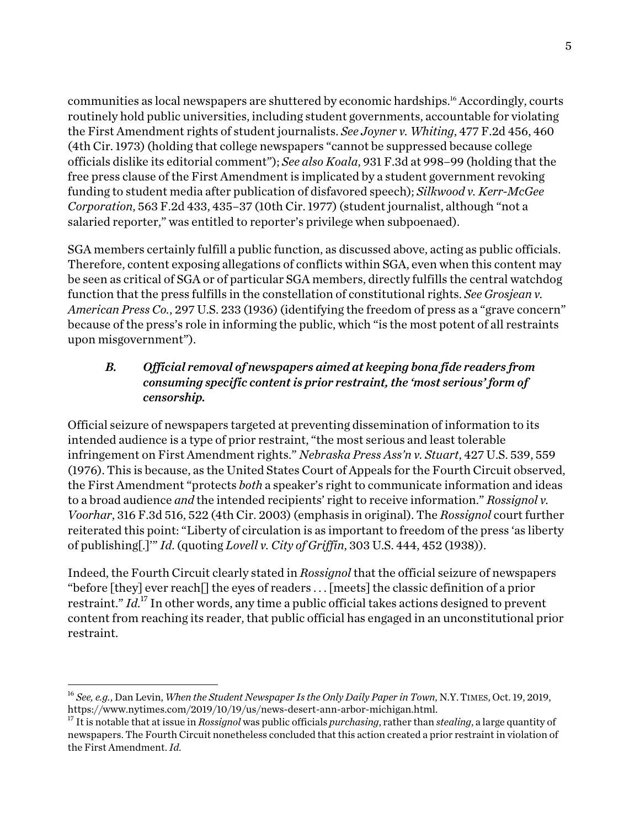communities as local newspapers are shuttered by economic hardships.<sup>16</sup> Accordingly, courts routinely hold public universities, including student governments, accountable for violating the First Amendment rights of student journalists. *See Joyner v. Whiting*, 477 F.2d 456, 460 (4th Cir. 1973) (holding that college newspapers "cannot be suppressed because college officials dislike its editorial comment"); *See also Koala*, 931 F.3d at 998–99 (holding that the free press clause of the First Amendment is implicated by a student government revoking funding to student media after publication of disfavored speech); *Silkwood v. Kerr-McGee Corporation*, 563 F.2d 433, 435–37 (10th Cir. 1977) (student journalist, although "not a salaried reporter," was entitled to reporter's privilege when subpoenaed).

SGA members certainly fulfill a public function, as discussed above, acting as public officials. Therefore, content exposing allegations of conflicts within SGA, even when this content may be seen as critical of SGA or of particular SGA members, directly fulfills the central watchdog function that the press fulfills in the constellation of constitutional rights. *See Grosjean v. American Press Co.*, 297 U.S. 233 (1936) (identifying the freedom of press as a "grave concern" because of the press's role in informing the public, which "is the most potent of all restraints upon misgovernment").

# *B. Official removal of newspapers aimed at keeping bona fide readers from consuming specific content is prior restraint, the 'most serious' form of censorship.*

Official seizure of newspapers targeted at preventing dissemination of information to its intended audience is a type of prior restraint, "the most serious and least tolerable infringement on First Amendment rights." *Nebraska Press Ass'n v. Stuart*, 427 U.S. 539, 559 (1976). This is because, as the United States Court of Appeals for the Fourth Circuit observed, the First Amendment "protects *both* a speaker's right to communicate information and ideas to a broad audience *and* the intended recipients' right to receive information." *Rossignol v. Voorhar*, 316 F.3d 516, 522 (4th Cir. 2003) (emphasis in original). The *Rossignol* court further reiterated this point: "Liberty of circulation is as important to freedom of the press 'as liberty of publishing[.]'" *Id*. (quoting *Lovell v. City of Griffin*, 303 U.S. 444, 452 (1938)).

Indeed, the Fourth Circuit clearly stated in *Rossignol* that the official seizure of newspapers "before [they] ever reach<sup> $\Box$ </sup> the eyes of readers ... [meets] the classic definition of a prior restraint." *Id*. <sup>17</sup> In other words, any time a public official takes actions designed to prevent content from reaching its reader, that public official has engaged in an unconstitutional prior restraint.

<sup>&</sup>lt;sup>16</sup> *See, e.g.*, Dan Levin, *When the Student Newspaper Is the Only Daily Paper in Town*, N.Y. TIMES, Oct. 19, 2019,<br>https://www.nytimes.com/2019/10/19/us/news-desert-ann-arbor-michigan.html.

<sup>&</sup>lt;sup>17</sup> It is notable that at issue in *Rossignol* was public officials *purchasing*, rather than *stealing*, a large quantity of newspapers. The Fourth Circuit nonetheless concluded that this action created a prior restraint in violation of the First Amendment. *Id*.